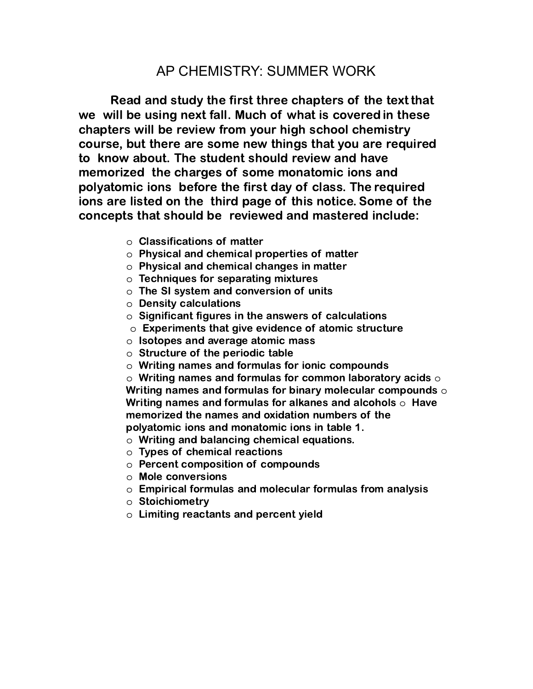## AP CHEMISTRY: SUMMER WORK

Read and study the first three chapters of the text that we will be using next fall. Much of what is covered in these chapters will be review from your high school chemistry course, but there are some new things that you are required to know about. The student should review and have memorized the charges of some monatomic ions and polyatomic ions before the first day of class. The required ions are listed on the third page of this notice. Some of the concepts that should be reviewed and mastered include:

- o Classifications of matter
- o Physical and chemical properties of matter
- o Physical and chemical changes in matter
- $\circ$  Techniques for separating mixtures
- $\circ$  The SI system and conversion of units
- o Density calculations
- o Significant figures in the answers of calculations
- o Experiments that give evidence of atomic structure
- o Isotopes and average atomic mass
- o Structure of the periodic table
- o Writing names and formulas for ionic compounds

 $\circ$  Writing names and formulas for common laboratory acids  $\circ$ Writing names and formulas for binary molecular compounds  $\circ$ Writing names and formulas for alkanes and alcohols  $\circ$  Have memorized the names and oxidation numbers of the polyatomic ions and monatomic ions in table 1.

- o Writing and balancing chemical equations.
- o Types of chemical reactions
- o Percent composition of compounds
- o Mole conversions
- $\circ$  Empirical formulas and molecular formulas from analysis
- o Stoichiometry
- o Limiting reactants and percent yield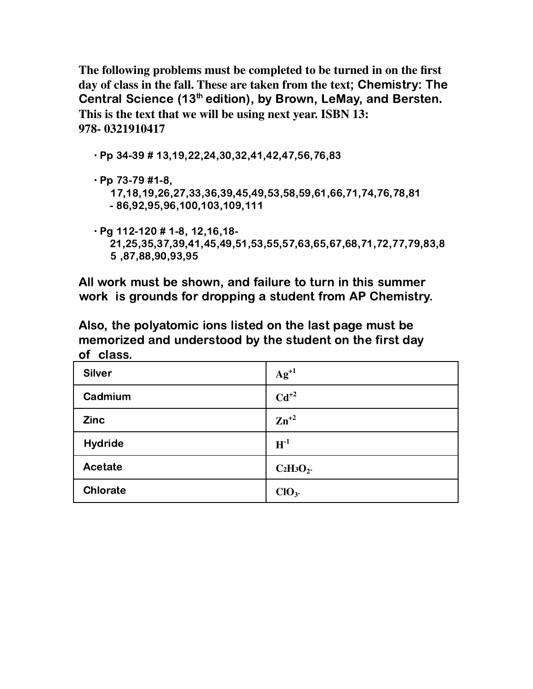**The following problems must be completed to be turned in on the first day of class in the fall. These are taken from the text**; Chemistry: The Central Science (13<sup>th</sup> edition), by Brown, LeMay, and Bersten. **This is the text that we will be using next year. ISBN 13: 978- 0321910417**

- ∙ Pp 34-39 # 13,19,22,24,30,32,41,42,47,56,76,83
- ∙ Pp 73-79 #1-8,
	- 17,18,19,26,27,33,36,39,45,49,53,58,59,61,66,71,74,76,78,81 - 86,92,95,96,100,103,109,111
- ∙ Pg 112-120 # 1-8, 12,16,18- 21,25,35,37,39,41,45,49,51,53,55,57,63,65,67,68,71,72,77,79,83,8 5 ,87,88,90,93,95

All work must be shown, and failure to turn in this summer work is grounds for dropping a student from AP Chemistry.

Also, the polyatomic ions listed on the last page must be memorized and understood by the student on the first day of class.

| <b>Silver</b>   | $Ag^{+1}$        |
|-----------------|------------------|
| Cadmium         | $Cd^{+2}$        |
| <b>Zinc</b>     | $Zn^{+2}$        |
| <b>Hydride</b>  | $H^{-1}$         |
| Acetate         | $C_2H_3O_2$      |
| <b>Chlorate</b> | ClO <sub>3</sub> |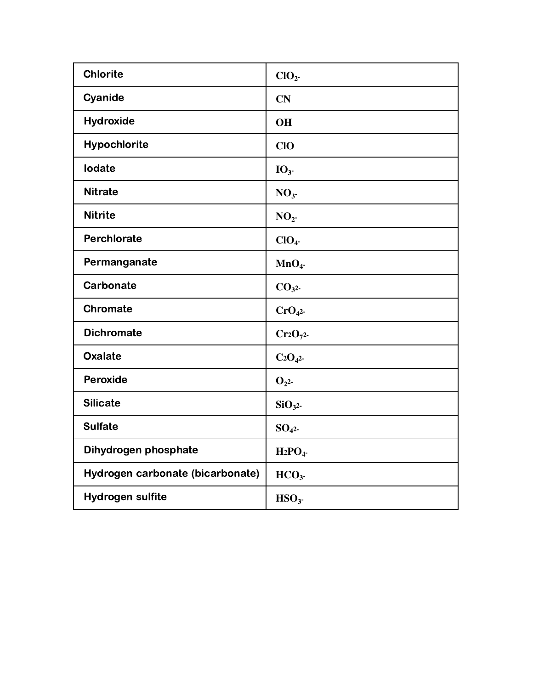| <b>Chlorite</b>                  | CIO <sub>2</sub>   |
|----------------------------------|--------------------|
| Cyanide                          | <b>CN</b>          |
| <b>Hydroxide</b>                 | <b>OH</b>          |
| Hypochlorite                     | <b>CIO</b>         |
| lodate                           | IO <sub>3</sub>    |
| <b>Nitrate</b>                   | NO <sub>3</sub>    |
| <b>Nitrite</b>                   | NO <sub>2</sub>    |
| Perchlorate                      | ClO <sub>4</sub>   |
| Permanganate                     | MnO <sub>4</sub>   |
| Carbonate                        | CO <sub>3</sub> 2  |
| <b>Chromate</b>                  | CrO <sub>4</sub>   |
| <b>Dichromate</b>                | $Cr2O_{72}$        |
| <b>Oxalate</b>                   | $C_2O_{42}$        |
| Peroxide                         | O <sub>2</sub>     |
| <b>Silicate</b>                  | SiO <sub>3</sub> 2 |
| <b>Sulfate</b>                   | $SO_{42}$          |
| Dihydrogen phosphate             | $H_2PO_4$          |
| Hydrogen carbonate (bicarbonate) | HCO <sub>3</sub>   |
| <b>Hydrogen sulfite</b>          | HSO <sub>3</sub>   |